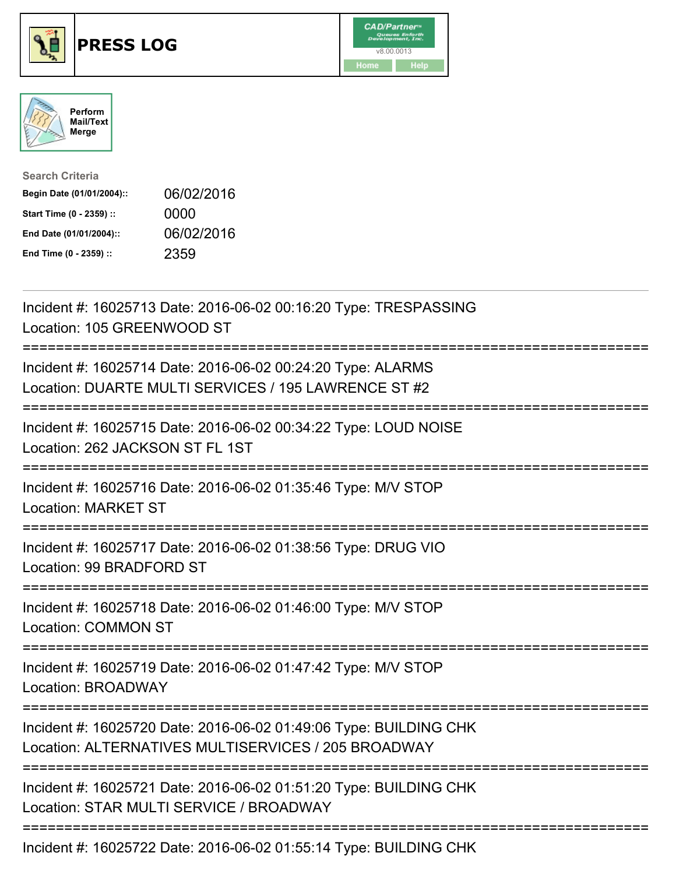

## **PRESS LOG** v8.00.0013





| <b>Search Criteria</b>    |            |
|---------------------------|------------|
| Begin Date (01/01/2004):: | 06/02/2016 |
| Start Time (0 - 2359) ::  | 0000       |
| End Date (01/01/2004)::   | 06/02/2016 |
| End Time (0 - 2359) ::    | 2359       |

Incident #: 16025713 Date: 2016-06-02 00:16:20 Type: TRESPASSING Location: 105 GREENWOOD ST =========================================================================== Incident #: 16025714 Date: 2016-06-02 00:24:20 Type: ALARMS Location: DUARTE MULTI SERVICES / 195 LAWRENCE ST #2 =========================================================================== Incident #: 16025715 Date: 2016-06-02 00:34:22 Type: LOUD NOISE Location: 262 JACKSON ST FL 1ST =========================================================================== Incident #: 16025716 Date: 2016-06-02 01:35:46 Type: M/V STOP Location: MARKET ST =========================================================================== Incident #: 16025717 Date: 2016-06-02 01:38:56 Type: DRUG VIO Location: 99 BRADFORD ST =========================================================================== Incident #: 16025718 Date: 2016-06-02 01:46:00 Type: M/V STOP Location: COMMON ST =========================================================================== Incident #: 16025719 Date: 2016-06-02 01:47:42 Type: M/V STOP Location: BROADWAY =========================================================================== Incident #: 16025720 Date: 2016-06-02 01:49:06 Type: BUILDING CHK Location: ALTERNATIVES MULTISERVICES / 205 BROADWAY =========================================================================== Incident #: 16025721 Date: 2016-06-02 01:51:20 Type: BUILDING CHK Location: STAR MULTI SERVICE / BROADWAY =========================================================================== Incident #: 16025722 Date: 2016-06-02 01:55:14 Type: BUILDING CHK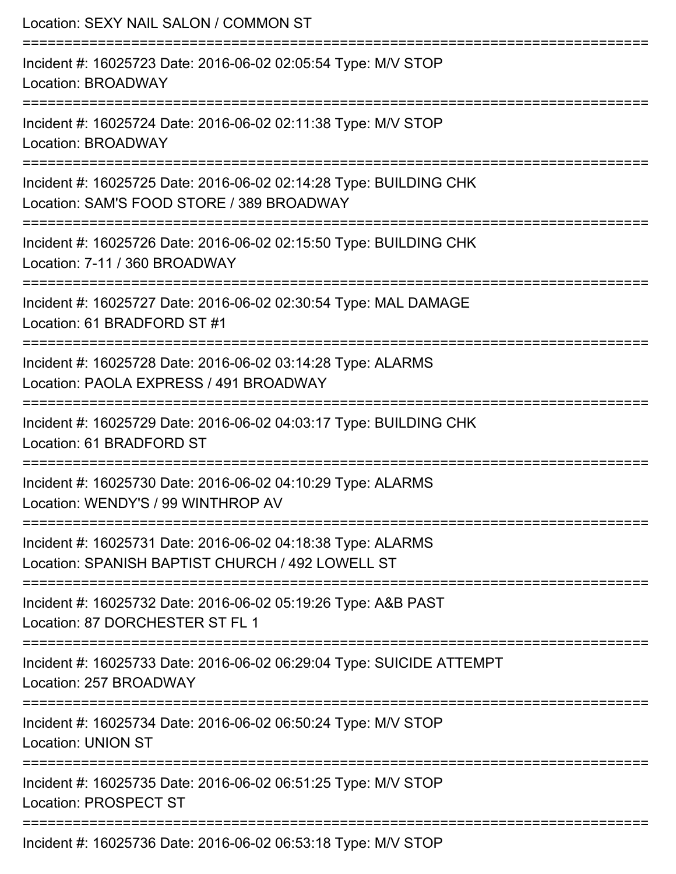| Location: SEXY NAIL SALON / COMMON ST                                                                           |
|-----------------------------------------------------------------------------------------------------------------|
| Incident #: 16025723 Date: 2016-06-02 02:05:54 Type: M/V STOP<br><b>Location: BROADWAY</b>                      |
| Incident #: 16025724 Date: 2016-06-02 02:11:38 Type: M/V STOP<br>Location: BROADWAY                             |
| Incident #: 16025725 Date: 2016-06-02 02:14:28 Type: BUILDING CHK<br>Location: SAM'S FOOD STORE / 389 BROADWAY  |
| Incident #: 16025726 Date: 2016-06-02 02:15:50 Type: BUILDING CHK<br>Location: 7-11 / 360 BROADWAY              |
| Incident #: 16025727 Date: 2016-06-02 02:30:54 Type: MAL DAMAGE<br>Location: 61 BRADFORD ST #1                  |
| Incident #: 16025728 Date: 2016-06-02 03:14:28 Type: ALARMS<br>Location: PAOLA EXPRESS / 491 BROADWAY           |
| Incident #: 16025729 Date: 2016-06-02 04:03:17 Type: BUILDING CHK<br>Location: 61 BRADFORD ST                   |
| Incident #: 16025730 Date: 2016-06-02 04:10:29 Type: ALARMS<br>Location: WENDY'S / 99 WINTHROP AV               |
| Incident #: 16025731 Date: 2016-06-02 04:18:38 Type: ALARMS<br>Location: SPANISH BAPTIST CHURCH / 492 LOWELL ST |
| Incident #: 16025732 Date: 2016-06-02 05:19:26 Type: A&B PAST<br>Location: 87 DORCHESTER ST FL 1                |
| Incident #: 16025733 Date: 2016-06-02 06:29:04 Type: SUICIDE ATTEMPT<br>Location: 257 BROADWAY                  |
| Incident #: 16025734 Date: 2016-06-02 06:50:24 Type: M/V STOP<br><b>Location: UNION ST</b>                      |
| Incident #: 16025735 Date: 2016-06-02 06:51:25 Type: M/V STOP<br><b>Location: PROSPECT ST</b>                   |
| Incident #: 16025736 Date: 2016-06-02 06:53:18 Type: M/V STOP                                                   |

Incident #: 16023736 Date: 2016-06-02 06:53:18 Type: M/V STOP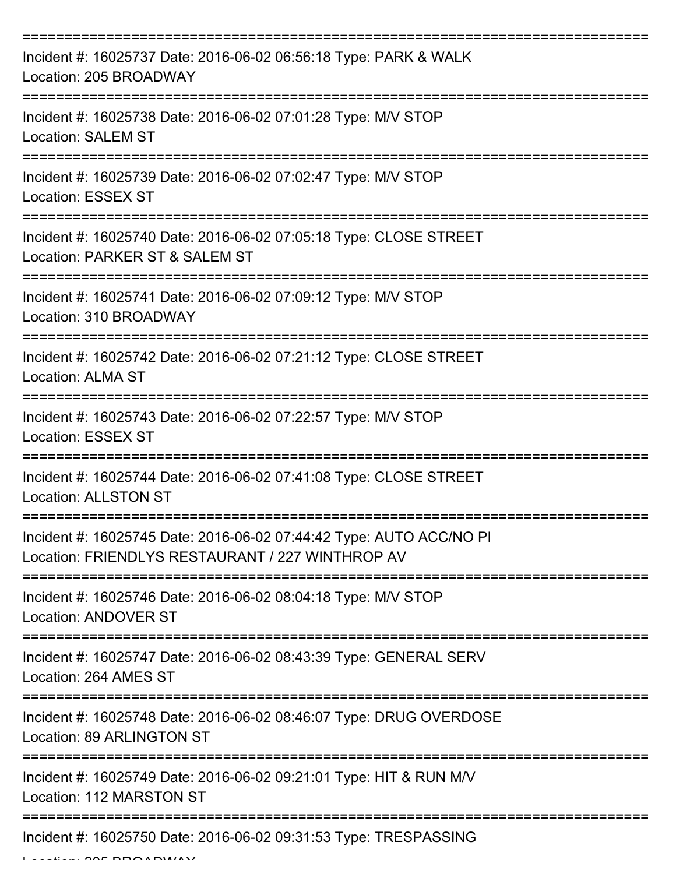| Incident #: 16025737 Date: 2016-06-02 06:56:18 Type: PARK & WALK<br>Location: 205 BROADWAY                              |
|-------------------------------------------------------------------------------------------------------------------------|
| Incident #: 16025738 Date: 2016-06-02 07:01:28 Type: M/V STOP<br><b>Location: SALEM ST</b>                              |
| Incident #: 16025739 Date: 2016-06-02 07:02:47 Type: M/V STOP<br><b>Location: ESSEX ST</b>                              |
| Incident #: 16025740 Date: 2016-06-02 07:05:18 Type: CLOSE STREET<br>Location: PARKER ST & SALEM ST                     |
| Incident #: 16025741 Date: 2016-06-02 07:09:12 Type: M/V STOP<br>Location: 310 BROADWAY                                 |
| Incident #: 16025742 Date: 2016-06-02 07:21:12 Type: CLOSE STREET<br><b>Location: ALMA ST</b>                           |
| Incident #: 16025743 Date: 2016-06-02 07:22:57 Type: M/V STOP<br>Location: ESSEX ST                                     |
| Incident #: 16025744 Date: 2016-06-02 07:41:08 Type: CLOSE STREET<br><b>Location: ALLSTON ST</b>                        |
| Incident #: 16025745 Date: 2016-06-02 07:44:42 Type: AUTO ACC/NO PI<br>Location: FRIENDLYS RESTAURANT / 227 WINTHROP AV |
| Incident #: 16025746 Date: 2016-06-02 08:04:18 Type: M/V STOP<br><b>Location: ANDOVER ST</b>                            |
| Incident #: 16025747 Date: 2016-06-02 08:43:39 Type: GENERAL SERV<br>Location: 264 AMES ST                              |
| Incident #: 16025748 Date: 2016-06-02 08:46:07 Type: DRUG OVERDOSE<br><b>Location: 89 ARLINGTON ST</b>                  |
| Incident #: 16025749 Date: 2016-06-02 09:21:01 Type: HIT & RUN M/V<br>Location: 112 MARSTON ST                          |
| Incident #: 16025750 Date: 2016-06-02 09:31:53 Type: TRESPASSING                                                        |

 $L = LL$ ,  $\alpha$  and  $\alpha$  be  $\alpha$  and  $\alpha$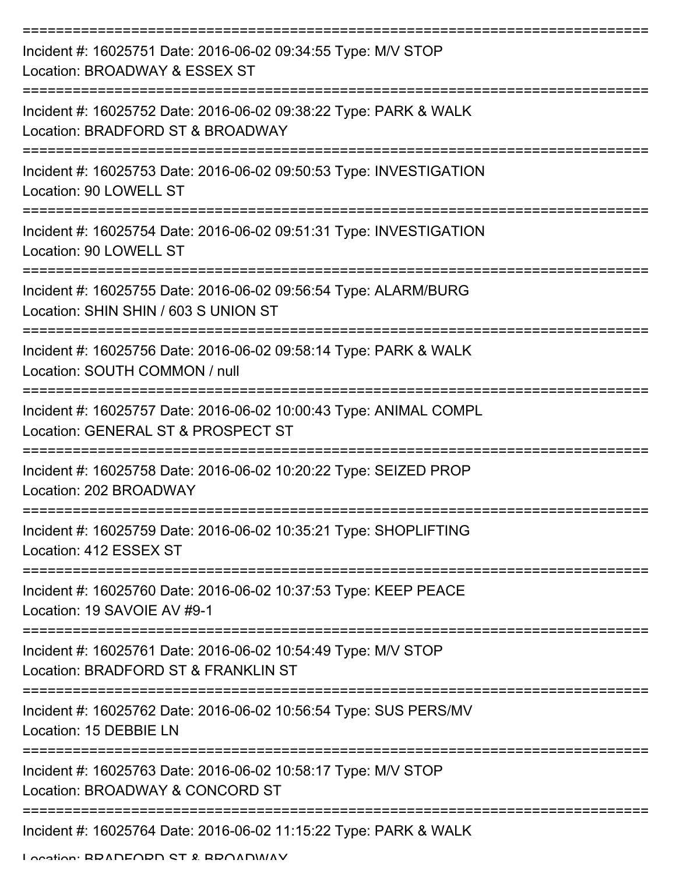| Incident #: 16025751 Date: 2016-06-02 09:34:55 Type: M/V STOP<br>Location: BROADWAY & ESSEX ST          |
|---------------------------------------------------------------------------------------------------------|
| Incident #: 16025752 Date: 2016-06-02 09:38:22 Type: PARK & WALK<br>Location: BRADFORD ST & BROADWAY    |
| Incident #: 16025753 Date: 2016-06-02 09:50:53 Type: INVESTIGATION<br>Location: 90 LOWELL ST            |
| Incident #: 16025754 Date: 2016-06-02 09:51:31 Type: INVESTIGATION<br>Location: 90 LOWELL ST            |
| Incident #: 16025755 Date: 2016-06-02 09:56:54 Type: ALARM/BURG<br>Location: SHIN SHIN / 603 S UNION ST |
| Incident #: 16025756 Date: 2016-06-02 09:58:14 Type: PARK & WALK<br>Location: SOUTH COMMON / null       |
| Incident #: 16025757 Date: 2016-06-02 10:00:43 Type: ANIMAL COMPL<br>Location: GENERAL ST & PROSPECT ST |
| Incident #: 16025758 Date: 2016-06-02 10:20:22 Type: SEIZED PROP<br>Location: 202 BROADWAY              |
| Incident #: 16025759 Date: 2016-06-02 10:35:21 Type: SHOPLIFTING<br>Location: 412 ESSEX ST              |
| Incident #: 16025760 Date: 2016-06-02 10:37:53 Type: KEEP PEACE<br>Location: 19 SAVOIE AV #9-1          |
| Incident #: 16025761 Date: 2016-06-02 10:54:49 Type: M/V STOP<br>Location: BRADFORD ST & FRANKLIN ST    |
| Incident #: 16025762 Date: 2016-06-02 10:56:54 Type: SUS PERS/MV<br>Location: 15 DEBBIE LN              |
| Incident #: 16025763 Date: 2016-06-02 10:58:17 Type: M/V STOP<br>Location: BROADWAY & CONCORD ST        |
| Incident #: 16025764 Date: 2016-06-02 11:15:22 Type: PARK & WALK                                        |

Location: BRADFORD ST & BROADWAY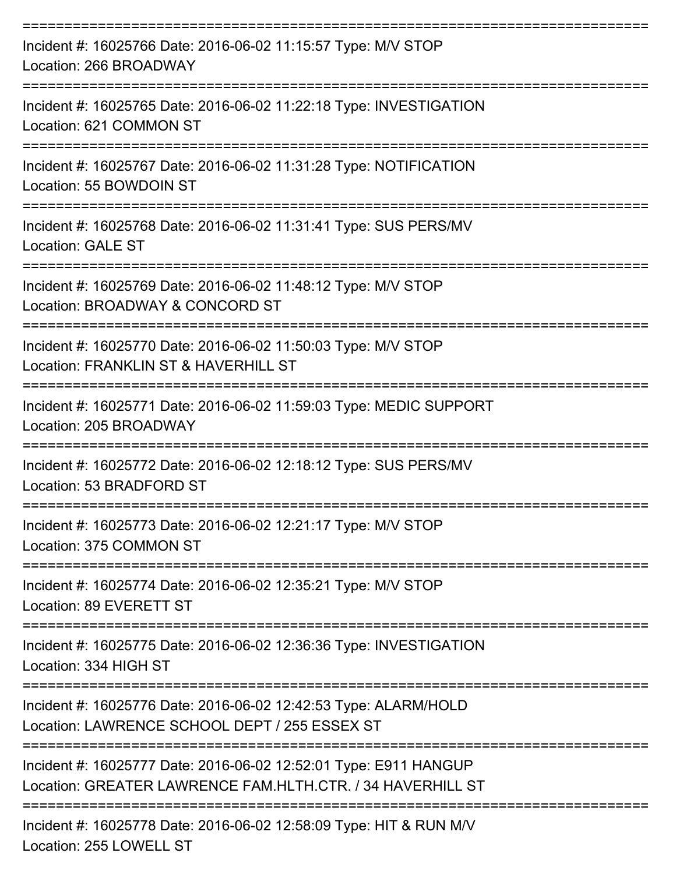| Incident #: 16025766 Date: 2016-06-02 11:15:57 Type: M/V STOP<br>Location: 266 BROADWAY                                        |
|--------------------------------------------------------------------------------------------------------------------------------|
| Incident #: 16025765 Date: 2016-06-02 11:22:18 Type: INVESTIGATION<br>Location: 621 COMMON ST                                  |
| Incident #: 16025767 Date: 2016-06-02 11:31:28 Type: NOTIFICATION<br>Location: 55 BOWDOIN ST                                   |
| Incident #: 16025768 Date: 2016-06-02 11:31:41 Type: SUS PERS/MV<br>Location: GALE ST                                          |
| Incident #: 16025769 Date: 2016-06-02 11:48:12 Type: M/V STOP<br>Location: BROADWAY & CONCORD ST                               |
| Incident #: 16025770 Date: 2016-06-02 11:50:03 Type: M/V STOP<br>Location: FRANKLIN ST & HAVERHILL ST                          |
| --------------------<br>Incident #: 16025771 Date: 2016-06-02 11:59:03 Type: MEDIC SUPPORT<br>Location: 205 BROADWAY           |
| Incident #: 16025772 Date: 2016-06-02 12:18:12 Type: SUS PERS/MV<br>Location: 53 BRADFORD ST                                   |
| Incident #: 16025773 Date: 2016-06-02 12:21:17 Type: M/V STOP<br>Location: 375 COMMON ST                                       |
| Incident #: 16025774 Date: 2016-06-02 12:35:21 Type: M/V STOP<br>Location: 89 EVERETT ST                                       |
| Incident #: 16025775 Date: 2016-06-02 12:36:36 Type: INVESTIGATION<br>Location: 334 HIGH ST                                    |
| Incident #: 16025776 Date: 2016-06-02 12:42:53 Type: ALARM/HOLD<br>Location: LAWRENCE SCHOOL DEPT / 255 ESSEX ST               |
| Incident #: 16025777 Date: 2016-06-02 12:52:01 Type: E911 HANGUP<br>Location: GREATER LAWRENCE FAM.HLTH.CTR. / 34 HAVERHILL ST |
| Incident #: 16025778 Date: 2016-06-02 12:58:09 Type: HIT & RUN M/V<br>Location: 255 LOWELL ST                                  |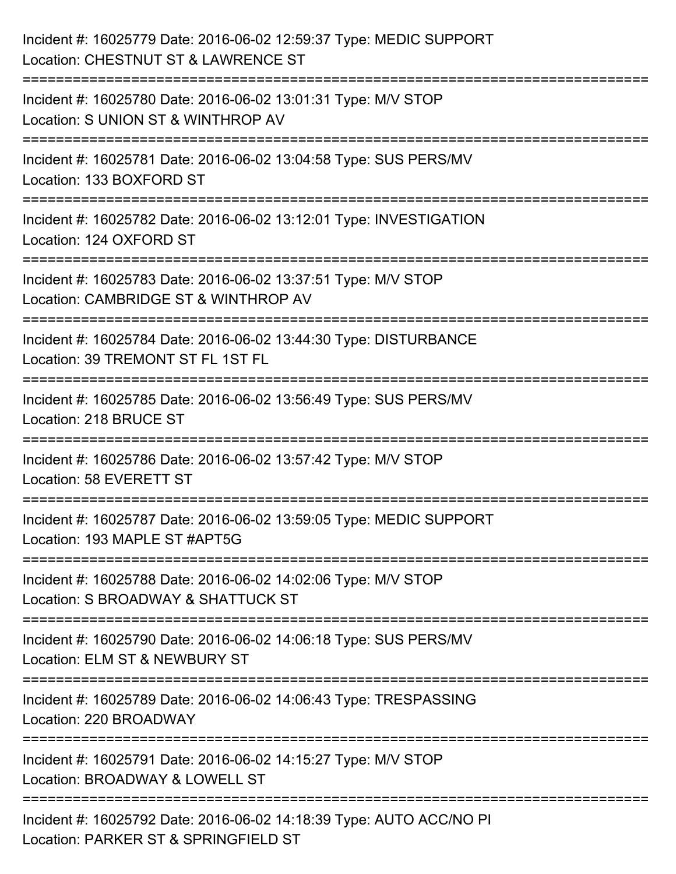| Incident #: 16025779 Date: 2016-06-02 12:59:37 Type: MEDIC SUPPORT<br>Location: CHESTNUT ST & LAWRENCE ST                            |
|--------------------------------------------------------------------------------------------------------------------------------------|
| =============================<br>Incident #: 16025780 Date: 2016-06-02 13:01:31 Type: M/V STOP<br>Location: S UNION ST & WINTHROP AV |
| Incident #: 16025781 Date: 2016-06-02 13:04:58 Type: SUS PERS/MV<br>Location: 133 BOXFORD ST<br>==================================   |
| Incident #: 16025782 Date: 2016-06-02 13:12:01 Type: INVESTIGATION<br>Location: 124 OXFORD ST                                        |
| Incident #: 16025783 Date: 2016-06-02 13:37:51 Type: M/V STOP<br>Location: CAMBRIDGE ST & WINTHROP AV<br>====================        |
| Incident #: 16025784 Date: 2016-06-02 13:44:30 Type: DISTURBANCE<br>Location: 39 TREMONT ST FL 1ST FL                                |
| Incident #: 16025785 Date: 2016-06-02 13:56:49 Type: SUS PERS/MV<br>Location: 218 BRUCE ST                                           |
| Incident #: 16025786 Date: 2016-06-02 13:57:42 Type: M/V STOP<br>Location: 58 EVERETT ST                                             |
| Incident #: 16025787 Date: 2016-06-02 13:59:05 Type: MEDIC SUPPORT<br>Location: 193 MAPLE ST #APT5G                                  |
| Incident #: 16025788 Date: 2016-06-02 14:02:06 Type: M/V STOP<br>Location: S BROADWAY & SHATTUCK ST                                  |
| Incident #: 16025790 Date: 2016-06-02 14:06:18 Type: SUS PERS/MV<br>Location: ELM ST & NEWBURY ST                                    |
| Incident #: 16025789 Date: 2016-06-02 14:06:43 Type: TRESPASSING<br>Location: 220 BROADWAY                                           |
| Incident #: 16025791 Date: 2016-06-02 14:15:27 Type: M/V STOP<br>Location: BROADWAY & LOWELL ST                                      |
| Incident #: 16025792 Date: 2016-06-02 14:18:39 Type: AUTO ACC/NO PI<br>Location: PARKER ST & SPRINGFIELD ST                          |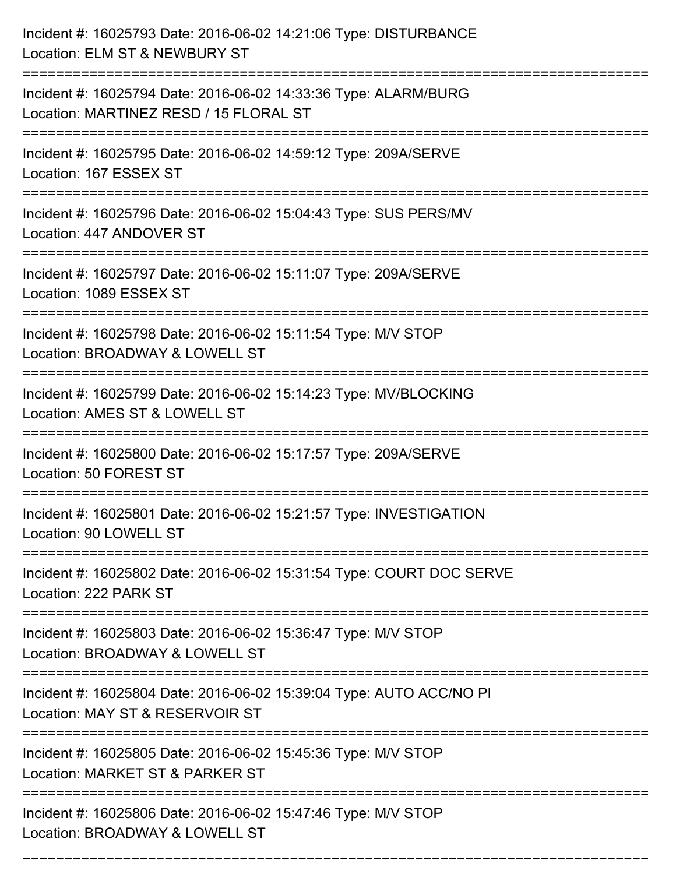| Incident #: 16025793 Date: 2016-06-02 14:21:06 Type: DISTURBANCE<br>Location: ELM ST & NEWBURY ST         |
|-----------------------------------------------------------------------------------------------------------|
| Incident #: 16025794 Date: 2016-06-02 14:33:36 Type: ALARM/BURG<br>Location: MARTINEZ RESD / 15 FLORAL ST |
| Incident #: 16025795 Date: 2016-06-02 14:59:12 Type: 209A/SERVE<br>Location: 167 ESSEX ST                 |
| Incident #: 16025796 Date: 2016-06-02 15:04:43 Type: SUS PERS/MV<br>Location: 447 ANDOVER ST              |
| Incident #: 16025797 Date: 2016-06-02 15:11:07 Type: 209A/SERVE<br>Location: 1089 ESSEX ST                |
| Incident #: 16025798 Date: 2016-06-02 15:11:54 Type: M/V STOP<br>Location: BROADWAY & LOWELL ST           |
| Incident #: 16025799 Date: 2016-06-02 15:14:23 Type: MV/BLOCKING<br>Location: AMES ST & LOWELL ST         |
| Incident #: 16025800 Date: 2016-06-02 15:17:57 Type: 209A/SERVE<br>Location: 50 FOREST ST                 |
| Incident #: 16025801 Date: 2016-06-02 15:21:57 Type: INVESTIGATION<br>Location: 90 LOWELL ST              |
| Incident #: 16025802 Date: 2016-06-02 15:31:54 Type: COURT DOC SERVE<br>Location: 222 PARK ST             |
| Incident #: 16025803 Date: 2016-06-02 15:36:47 Type: M/V STOP<br>Location: BROADWAY & LOWELL ST           |
| Incident #: 16025804 Date: 2016-06-02 15:39:04 Type: AUTO ACC/NO PI<br>Location: MAY ST & RESERVOIR ST    |
| Incident #: 16025805 Date: 2016-06-02 15:45:36 Type: M/V STOP<br>Location: MARKET ST & PARKER ST          |
| Incident #: 16025806 Date: 2016-06-02 15:47:46 Type: M/V STOP<br>Location: BROADWAY & LOWELL ST           |

===========================================================================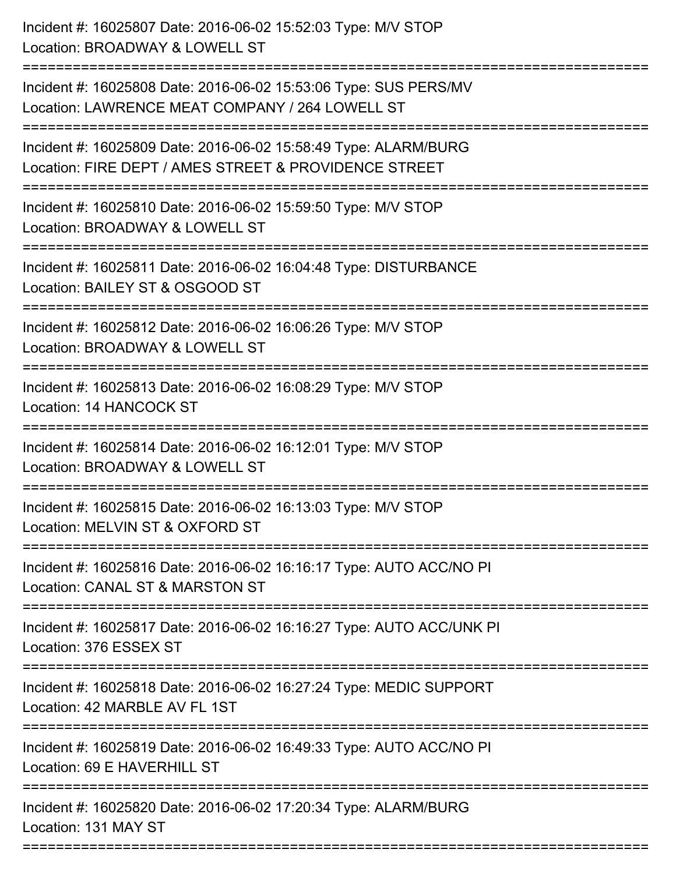Incident #: 16025807 Date: 2016-06-02 15:52:03 Type: M/V STOP Location: BROADWAY & LOWELL ST =========================================================================== Incident #: 16025808 Date: 2016-06-02 15:53:06 Type: SUS PERS/MV Location: LAWRENCE MEAT COMPANY / 264 LOWELL ST =========================================================================== Incident #: 16025809 Date: 2016-06-02 15:58:49 Type: ALARM/BURG Location: FIRE DEPT / AMES STREET & PROVIDENCE STREET =========================================================================== Incident #: 16025810 Date: 2016-06-02 15:59:50 Type: M/V STOP Location: BROADWAY & LOWELL ST =========================================================================== Incident #: 16025811 Date: 2016-06-02 16:04:48 Type: DISTURBANCE Location: BAILEY ST & OSGOOD ST =========================================================================== Incident #: 16025812 Date: 2016-06-02 16:06:26 Type: M/V STOP Location: BROADWAY & LOWELL ST =========================================================================== Incident #: 16025813 Date: 2016-06-02 16:08:29 Type: M/V STOP Location: 14 HANCOCK ST =========================================================================== Incident #: 16025814 Date: 2016-06-02 16:12:01 Type: M/V STOP Location: BROADWAY & LOWELL ST =========================================================================== Incident #: 16025815 Date: 2016-06-02 16:13:03 Type: M/V STOP Location: MELVIN ST & OXFORD ST =========================================================================== Incident #: 16025816 Date: 2016-06-02 16:16:17 Type: AUTO ACC/NO PI Location: CANAL ST & MARSTON ST =========================================================================== Incident #: 16025817 Date: 2016-06-02 16:16:27 Type: AUTO ACC/UNK PI Location: 376 ESSEX ST =========================================================================== Incident #: 16025818 Date: 2016-06-02 16:27:24 Type: MEDIC SUPPORT Location: 42 MARBLE AV FL 1ST =========================================================================== Incident #: 16025819 Date: 2016-06-02 16:49:33 Type: AUTO ACC/NO PI Location: 69 E HAVERHILL ST =========================================================================== Incident #: 16025820 Date: 2016-06-02 17:20:34 Type: ALARM/BURG Location: 131 MAY ST ===========================================================================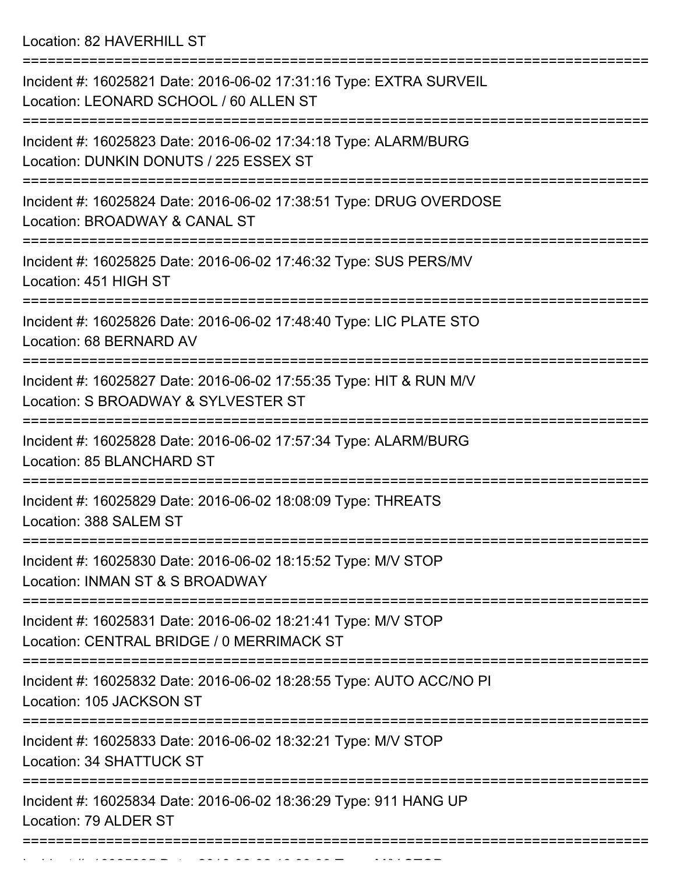Location: 82 HAVERHILL ST

| Incident #: 16025821 Date: 2016-06-02 17:31:16 Type: EXTRA SURVEIL<br>Location: LEONARD SCHOOL / 60 ALLEN ST |
|--------------------------------------------------------------------------------------------------------------|
| Incident #: 16025823 Date: 2016-06-02 17:34:18 Type: ALARM/BURG<br>Location: DUNKIN DONUTS / 225 ESSEX ST    |
| Incident #: 16025824 Date: 2016-06-02 17:38:51 Type: DRUG OVERDOSE<br>Location: BROADWAY & CANAL ST          |
| Incident #: 16025825 Date: 2016-06-02 17:46:32 Type: SUS PERS/MV<br>Location: 451 HIGH ST                    |
| Incident #: 16025826 Date: 2016-06-02 17:48:40 Type: LIC PLATE STO<br>Location: 68 BERNARD AV                |
| Incident #: 16025827 Date: 2016-06-02 17:55:35 Type: HIT & RUN M/V<br>Location: S BROADWAY & SYLVESTER ST    |
| Incident #: 16025828 Date: 2016-06-02 17:57:34 Type: ALARM/BURG<br>Location: 85 BLANCHARD ST                 |
| =========<br>Incident #: 16025829 Date: 2016-06-02 18:08:09 Type: THREATS<br>Location: 388 SALEM ST          |
| Incident #: 16025830 Date: 2016-06-02 18:15:52 Type: M/V STOP<br>Location: INMAN ST & S BROADWAY             |
| Incident #: 16025831 Date: 2016-06-02 18:21:41 Type: M/V STOP<br>Location: CENTRAL BRIDGE / 0 MERRIMACK ST   |
| Incident #: 16025832 Date: 2016-06-02 18:28:55 Type: AUTO ACC/NO PI<br>Location: 105 JACKSON ST              |
| Incident #: 16025833 Date: 2016-06-02 18:32:21 Type: M/V STOP<br>Location: 34 SHATTUCK ST                    |
| Incident #: 16025834 Date: 2016-06-02 18:36:29 Type: 911 HANG UP<br>Location: 79 ALDER ST                    |
|                                                                                                              |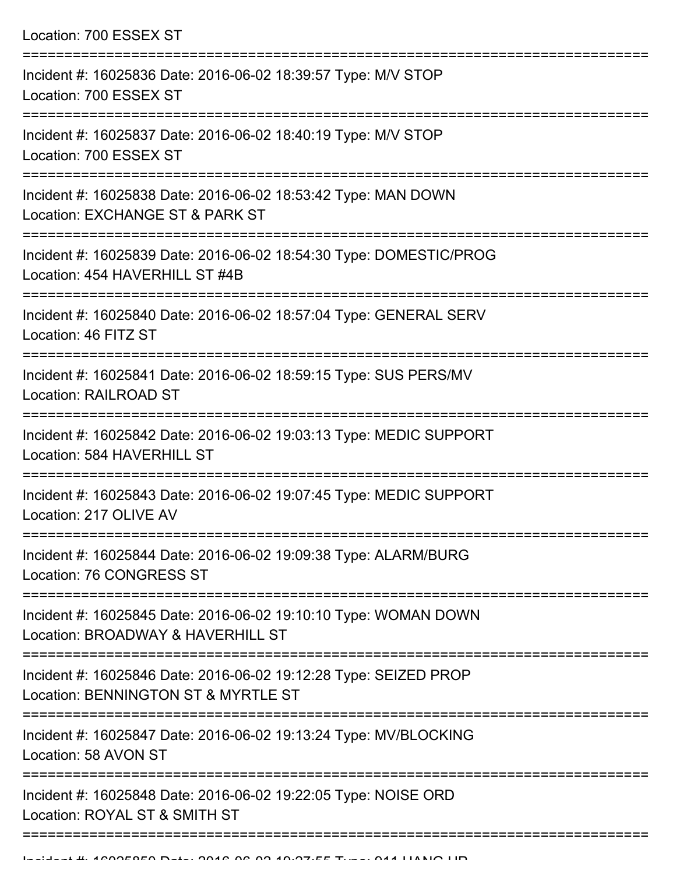| Incident #: 16025836 Date: 2016-06-02 18:39:57 Type: M/V STOP<br>Location: 700 ESSEX ST                 |
|---------------------------------------------------------------------------------------------------------|
| Incident #: 16025837 Date: 2016-06-02 18:40:19 Type: M/V STOP<br>Location: 700 ESSEX ST                 |
| Incident #: 16025838 Date: 2016-06-02 18:53:42 Type: MAN DOWN<br>Location: EXCHANGE ST & PARK ST        |
| Incident #: 16025839 Date: 2016-06-02 18:54:30 Type: DOMESTIC/PROG<br>Location: 454 HAVERHILL ST #4B    |
| Incident #: 16025840 Date: 2016-06-02 18:57:04 Type: GENERAL SERV<br>Location: 46 FITZ ST               |
| Incident #: 16025841 Date: 2016-06-02 18:59:15 Type: SUS PERS/MV<br><b>Location: RAILROAD ST</b>        |
| Incident #: 16025842 Date: 2016-06-02 19:03:13 Type: MEDIC SUPPORT<br>Location: 584 HAVERHILL ST        |
| Incident #: 16025843 Date: 2016-06-02 19:07:45 Type: MEDIC SUPPORT<br>Location: 217 OLIVE AV            |
| Incident #: 16025844 Date: 2016-06-02 19:09:38 Type: ALARM/BURG<br>Location: 76 CONGRESS ST             |
| Incident #: 16025845 Date: 2016-06-02 19:10:10 Type: WOMAN DOWN<br>Location: BROADWAY & HAVERHILL ST    |
| Incident #: 16025846 Date: 2016-06-02 19:12:28 Type: SEIZED PROP<br>Location: BENNINGTON ST & MYRTLE ST |
| Incident #: 16025847 Date: 2016-06-02 19:13:24 Type: MV/BLOCKING<br>Location: 58 AVON ST                |
| Incident #: 16025848 Date: 2016-06-02 19:22:05 Type: NOISE ORD<br>Location: ROYAL ST & SMITH ST         |
|                                                                                                         |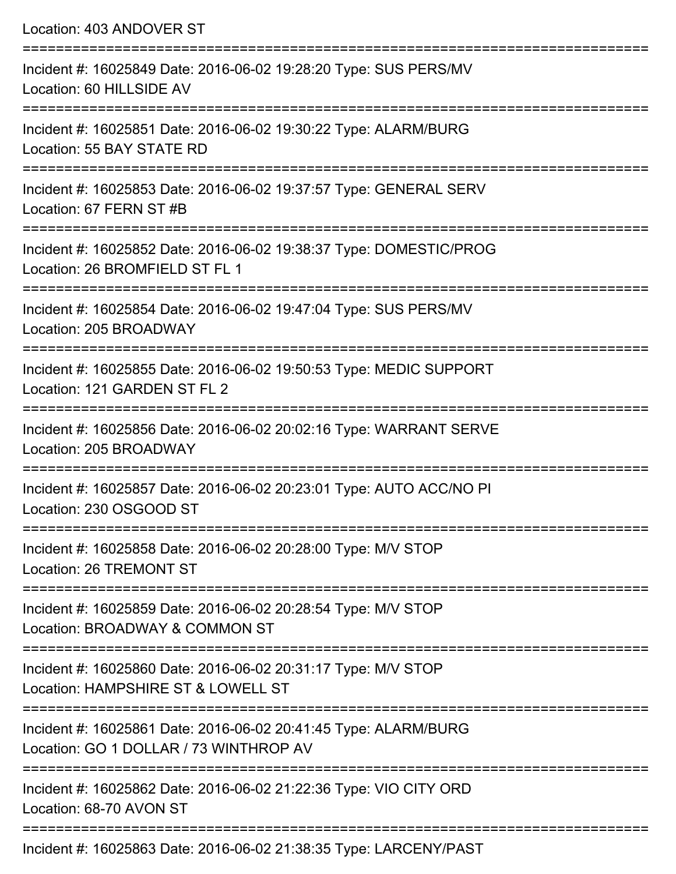| Location: 403 ANDOVER ST                                                                                                            |
|-------------------------------------------------------------------------------------------------------------------------------------|
| Incident #: 16025849 Date: 2016-06-02 19:28:20 Type: SUS PERS/MV<br>Location: 60 HILLSIDE AV                                        |
| Incident #: 16025851 Date: 2016-06-02 19:30:22 Type: ALARM/BURG<br>Location: 55 BAY STATE RD                                        |
| Incident #: 16025853 Date: 2016-06-02 19:37:57 Type: GENERAL SERV<br>Location: 67 FERN ST #B<br>=================================== |
| Incident #: 16025852 Date: 2016-06-02 19:38:37 Type: DOMESTIC/PROG<br>Location: 26 BROMFIELD ST FL 1                                |
| Incident #: 16025854 Date: 2016-06-02 19:47:04 Type: SUS PERS/MV<br>Location: 205 BROADWAY                                          |
| Incident #: 16025855 Date: 2016-06-02 19:50:53 Type: MEDIC SUPPORT<br>Location: 121 GARDEN ST FL 2                                  |
| Incident #: 16025856 Date: 2016-06-02 20:02:16 Type: WARRANT SERVE<br>Location: 205 BROADWAY                                        |
| Incident #: 16025857 Date: 2016-06-02 20:23:01 Type: AUTO ACC/NO PI<br>Location: 230 OSGOOD ST                                      |
| Incident #: 16025858 Date: 2016-06-02 20:28:00 Type: M/V STOP<br>Location: 26 TREMONT ST                                            |
| Incident #: 16025859 Date: 2016-06-02 20:28:54 Type: M/V STOP<br>Location: BROADWAY & COMMON ST                                     |
| Incident #: 16025860 Date: 2016-06-02 20:31:17 Type: M/V STOP<br>Location: HAMPSHIRE ST & LOWELL ST                                 |
| Incident #: 16025861 Date: 2016-06-02 20:41:45 Type: ALARM/BURG<br>Location: GO 1 DOLLAR / 73 WINTHROP AV                           |
| Incident #: 16025862 Date: 2016-06-02 21:22:36 Type: VIO CITY ORD<br>Location: 68-70 AVON ST                                        |

Incident #: 16025863 Date: 2016-06-02 21:38:35 Type: LARCENY/PAST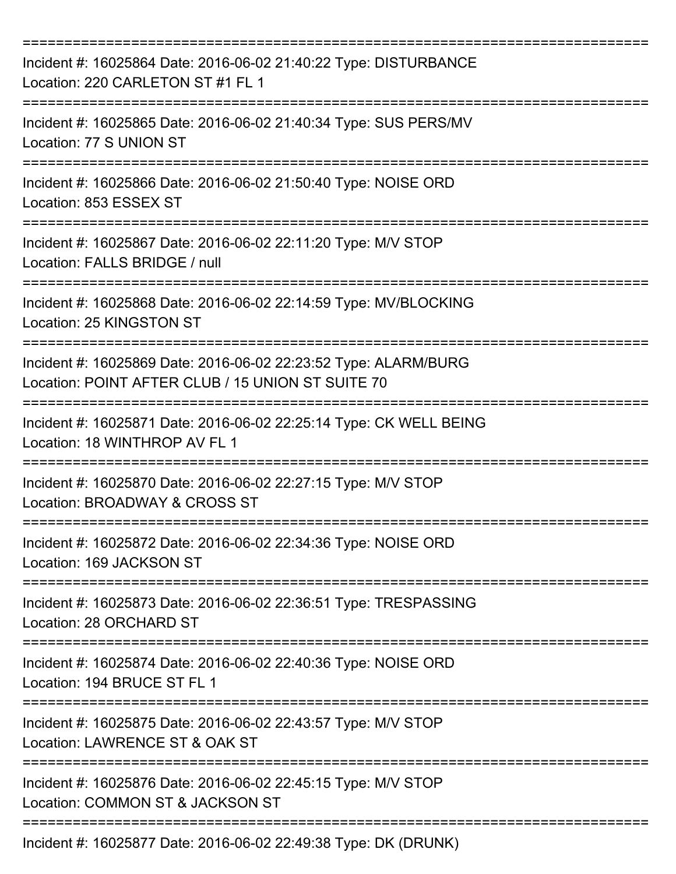| Incident #: 16025864 Date: 2016-06-02 21:40:22 Type: DISTURBANCE<br>Location: 220 CARLETON ST #1 FL 1                |
|----------------------------------------------------------------------------------------------------------------------|
| Incident #: 16025865 Date: 2016-06-02 21:40:34 Type: SUS PERS/MV<br>Location: 77 S UNION ST                          |
| Incident #: 16025866 Date: 2016-06-02 21:50:40 Type: NOISE ORD<br>Location: 853 ESSEX ST                             |
| Incident #: 16025867 Date: 2016-06-02 22:11:20 Type: M/V STOP<br>Location: FALLS BRIDGE / null                       |
| Incident #: 16025868 Date: 2016-06-02 22:14:59 Type: MV/BLOCKING<br>Location: 25 KINGSTON ST                         |
| Incident #: 16025869 Date: 2016-06-02 22:23:52 Type: ALARM/BURG<br>Location: POINT AFTER CLUB / 15 UNION ST SUITE 70 |
| Incident #: 16025871 Date: 2016-06-02 22:25:14 Type: CK WELL BEING<br>Location: 18 WINTHROP AV FL 1                  |
| Incident #: 16025870 Date: 2016-06-02 22:27:15 Type: M/V STOP<br>Location: BROADWAY & CROSS ST                       |
| Incident #: 16025872 Date: 2016-06-02 22:34:36 Type: NOISE ORD<br>Location: 169 JACKSON ST                           |
| Incident #: 16025873 Date: 2016-06-02 22:36:51 Type: TRESPASSING<br>Location: 28 ORCHARD ST                          |
| Incident #: 16025874 Date: 2016-06-02 22:40:36 Type: NOISE ORD<br>Location: 194 BRUCE ST FL 1                        |
| Incident #: 16025875 Date: 2016-06-02 22:43:57 Type: M/V STOP<br>Location: LAWRENCE ST & OAK ST                      |
| Incident #: 16025876 Date: 2016-06-02 22:45:15 Type: M/V STOP<br>Location: COMMON ST & JACKSON ST                    |
| Incident #: 16025877 Date: 2016-06-02 22:49:38 Type: DK (DRUNK)                                                      |